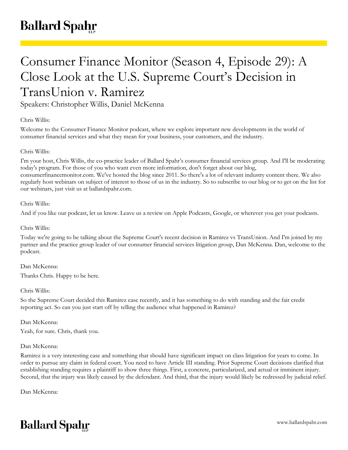# Consumer Finance Monitor (Season 4, Episode 29): A Close Look at the U.S. Supreme Court's Decision in TransUnion v. Ramirez

Speakers: Christopher Willis, Daniel McKenna

# Chris Willis:

Welcome to the Consumer Finance Monitor podcast, where we explore important new developments in the world of consumer financial services and what they mean for your business, your customers, and the industry.

# Chris Willis:

I'm your host, Chris Willis, the co-practice leader of Ballard Spahr's consumer financial services group. And I'll be moderating today's program. For those of you who want even more information, don't forget about our blog, consumerfinancemonitor.com. We've hosted the blog since 2011. So there's a lot of relevant industry content there. We also regularly host webinars on subject of interest to those of us in the industry. So to subscribe to our blog or to get on the list for our webinars, just visit us at ballardspahr.com.

#### Chris Willis:

And if you like our podcast, let us know. Leave us a review on Apple Podcasts, Google, or wherever you get your podcasts.

## Chris Willis:

Today we're going to be talking about the Supreme Court's recent decision in Ramirez vs TransUnion. And I'm joined by my partner and the practice group leader of our consumer financial services litigation group, Dan McKenna. Dan, welcome to the podcast.

#### Dan McKenna:

Thanks Chris. Happy to be here.

# Chris Willis:

So the Supreme Court decided this Ramirez case recently, and it has something to do with standing and the fair credit reporting act. So can you just start off by telling the audience what happened in Ramirez?

#### Dan McKenna:

Yeah, for sure. Chris, thank you.

#### Dan McKenna:

Ramirez is a very interesting case and something that should have significant impact on class litigation for years to come. In order to pursue any claim in federal court. You need to have Article III standing. Prior Supreme Court decisions clarified that establishing standing requires a plaintiff to show three things. First, a concrete, particularized, and actual or imminent injury. Second, that the injury was likely caused by the defendant. And third, that the injury would likely be redressed by judicial relief.

Dan McKenna:

# **Ballard Spahr**

www.ballardspahr.com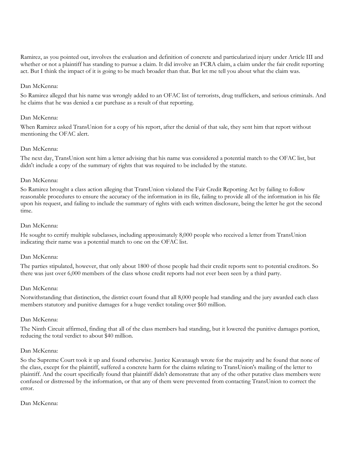Ramirez, as you pointed out, involves the evaluation and definition of concrete and particularized injury under Article III and whether or not a plaintiff has standing to pursue a claim. It did involve an FCRA claim, a claim under the fair credit reporting act. But I think the impact of it is going to be much broader than that. But let me tell you about what the claim was.

## Dan McKenna:

So Ramirez alleged that his name was wrongly added to an OFAC list of terrorists, drug traffickers, and serious criminals. And he claims that he was denied a car purchase as a result of that reporting.

#### Dan McKenna:

When Ramirez asked TransUnion for a copy of his report, after the denial of that sale, they sent him that report without mentioning the OFAC alert.

#### Dan McKenna:

The next day, TransUnion sent him a letter advising that his name was considered a potential match to the OFAC list, but didn't include a copy of the summary of rights that was required to be included by the statute.

#### Dan McKenna:

So Ramirez brought a class action alleging that TransUnion violated the Fair Credit Reporting Act by failing to follow reasonable procedures to ensure the accuracy of the information in its file, failing to provide all of the information in his file upon his request, and failing to include the summary of rights with each written disclosure, being the letter he got the second time.

#### Dan McKenna:

He sought to certify multiple subclasses, including approximately 8,000 people who received a letter from TransUnion indicating their name was a potential match to one on the OFAC list.

#### Dan McKenna:

The parties stipulated, however, that only about 1800 of those people had their credit reports sent to potential creditors. So there was just over 6,000 members of the class whose credit reports had not ever been seen by a third party.

#### Dan McKenna:

Notwithstanding that distinction, the district court found that all 8,000 people had standing and the jury awarded each class members statutory and punitive damages for a huge verdict totaling over \$60 million.

#### Dan McKenna:

The Ninth Circuit affirmed, finding that all of the class members had standing, but it lowered the punitive damages portion, reducing the total verdict to about \$40 million.

#### Dan McKenna:

So the Supreme Court took it up and found otherwise. Justice Kavanaugh wrote for the majority and he found that none of the class, except for the plaintiff, suffered a concrete harm for the claims relating to TransUnion's mailing of the letter to plaintiff. And the court specifically found that plaintiff didn't demonstrate that any of the other putative class members were confused or distressed by the information, or that any of them were prevented from contacting TransUnion to correct the error.

## Dan McKenna: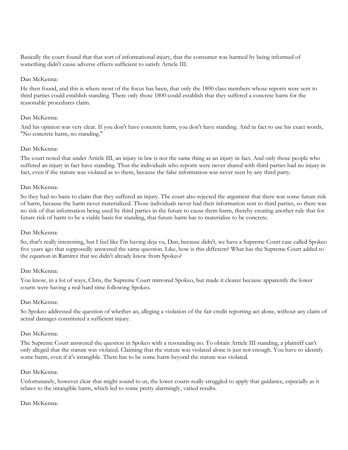Basically the court found that that sort of informational injury, that the consumer was harmed by being informed of something didn't cause adverse effects sufficient to satisfy Article III.

## Dan McKenna:

He then found, and this is where most of the focus has been, that only the 1800 class members whose reports were sent to third parties could establish standing. There only those 1800 could establish that they suffered a concrete harm for the reasonable procedures claim.

## Dan McKenna:

And his opinion was very clear. If you don't have concrete harm, you don't have standing. And in fact to use his exact words, "No concrete harm, no standing."

## Dan McKenna:

The court noted that under Article III, an injury in law is not the same thing as an injury in fact. And only those people who suffered an injury in fact have standing. Thus the individuals who reports were never shared with third parties had no injury in fact, even if the statute was violated as to them, because the false information was never seen by any third party.

## Dan McKenna:

So they had no basis to claim that they suffered an injury. The court also rejected the argument that there was some future risk of harm, because the harm never materialized. Those individuals never had their information sent to third parties, so there was no risk of that information being used by third parties in the future to cause them harm, thereby creating another rule that for future risk of harm to be a viable basis for standing, that future harm has to materialize to be concrete.

#### Dan McKenna:

So, that's really interesting, but I feel like I'm having deja vu, Dan, because didn't, we have a Supreme Court case called Spokeo five years ago that supposedly answered the same question. Like, how is this different? What has the Supreme Court added to the equation in Ramirez that we didn't already know from Spokeo?

#### Dan McKenna:

You know, in a lot of ways, Chris, the Supreme Court mirrored Spokeo, but made it clearer because apparently the lower courts were having a real hard time following Spokeo.

#### Dan McKenna:

So Spokeo addressed the question of whether an, alleging a violation of the fair credit reporting act alone, without any claim of actual damages constituted a sufficient injury.

#### Dan McKenna:

The Supreme Court answered the question in Spokeo with a resounding no. To obtain Article III standing, a plaintiff can't only alleged that the statute was violated. Claiming that the statute was violated alone is just not enough. You have to identify some harm, even if it's intangible. There has to be some harm beyond the statute was violated.

#### Dan McKenna:

Unfortunately, however clear that might sound to us, the lower courts really struggled to apply that guidance, especially as it relates to the intangible harm, which led to some pretty alarmingly, varied results.

# Dan McKenna: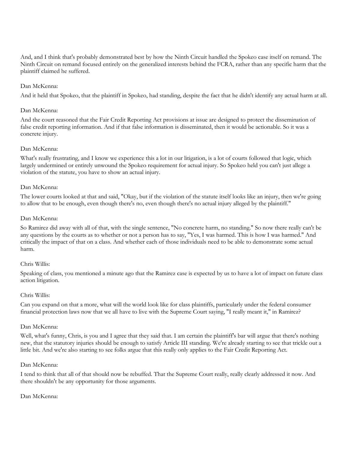And, and I think that's probably demonstrated best by how the Ninth Circuit handled the Spokeo case itself on remand. The Ninth Circuit on remand focused entirely on the generalized interests behind the FCRA, rather than any specific harm that the plaintiff claimed he suffered.

## Dan McKenna:

And it held that Spokeo, that the plaintiff in Spokeo, had standing, despite the fact that he didn't identify any actual harm at all.

#### Dan McKenna:

And the court reasoned that the Fair Credit Reporting Act provisions at issue are designed to protect the dissemination of false credit reporting information. And if that false information is disseminated, then it would be actionable. So it was a concrete injury.

#### Dan McKenna:

What's really frustrating, and I know we experience this a lot in our litigation, is a lot of courts followed that logic, which largely undermined or entirely unwound the Spokeo requirement for actual injury. So Spokeo held you can't just allege a violation of the statute, you have to show an actual injury.

#### Dan McKenna:

The lower courts looked at that and said, "Okay, but if the violation of the statute itself looks like an injury, then we're going to allow that to be enough, even though there's no, even though there's no actual injury alleged by the plaintiff."

#### Dan McKenna:

So Ramirez did away with all of that, with the single sentence, "No concrete harm, no standing." So now there really can't be any questions by the courts as to whether or not a person has to say, "Yes, I was harmed. This is how I was harmed." And critically the impact of that on a class. And whether each of those individuals need to be able to demonstrate some actual harm.

#### Chris Willis:

Speaking of class, you mentioned a minute ago that the Ramirez case is expected by us to have a lot of impact on future class action litigation.

#### Chris Willis:

Can you expand on that a more, what will the world look like for class plaintiffs, particularly under the federal consumer financial protection laws now that we all have to live with the Supreme Court saying, "I really meant it," in Ramirez?

#### Dan McKenna:

Well, what's funny, Chris, is you and I agree that they said that. I am certain the plaintiff's bar will argue that there's nothing new, that the statutory injuries should be enough to satisfy Article III standing. We're already starting to see that trickle out a little bit. And we're also starting to see folks argue that this really only applies to the Fair Credit Reporting Act.

#### Dan McKenna:

I tend to think that all of that should now be rebuffed. That the Supreme Court really, really clearly addressed it now. And there shouldn't be any opportunity for those arguments.

#### Dan McKenna: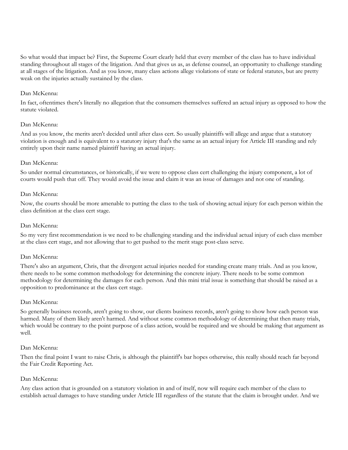So what would that impact be? First, the Supreme Court clearly held that every member of the class has to have individual standing throughout all stages of the litigation. And that gives us as, as defense counsel, an opportunity to challenge standing at all stages of the litigation. And as you know, many class actions allege violations of state or federal statutes, but are pretty weak on the injuries actually sustained by the class.

## Dan McKenna:

In fact, oftentimes there's literally no allegation that the consumers themselves suffered an actual injury as opposed to how the statute violated.

## Dan McKenna:

And as you know, the merits aren't decided until after class cert. So usually plaintiffs will allege and argue that a statutory violation is enough and is equivalent to a statutory injury that's the same as an actual injury for Article III standing and rely entirely upon their name named plaintiff having an actual injury.

## Dan McKenna:

So under normal circumstances, or historically, if we were to oppose class cert challenging the injury component, a lot of courts would push that off. They would avoid the issue and claim it was an issue of damages and not one of standing.

## Dan McKenna:

Now, the courts should be more amenable to putting the class to the task of showing actual injury for each person within the class definition at the class cert stage.

## Dan McKenna:

So my very first recommendation is we need to be challenging standing and the individual actual injury of each class member at the class cert stage, and not allowing that to get pushed to the merit stage post-class serve.

# Dan McKenna:

There's also an argument, Chris, that the divergent actual injuries needed for standing create many trials. And as you know, there needs to be some common methodology for determining the concrete injury. There needs to be some common methodology for determining the damages for each person. And this mini trial issue is something that should be raised as a opposition to predominance at the class cert stage.

#### Dan McKenna:

So generally business records, aren't going to show, our clients business records, aren't going to show how each person was harmed. Many of them likely aren't harmed. And without some common methodology of determining that then many trials, which would be contrary to the point purpose of a class action, would be required and we should be making that argument as well.

#### Dan McKenna:

Then the final point I want to raise Chris, is although the plaintiff's bar hopes otherwise, this really should reach far beyond the Fair Credit Reporting Act.

#### Dan McKenna:

Any class action that is grounded on a statutory violation in and of itself, now will require each member of the class to establish actual damages to have standing under Article III regardless of the statute that the claim is brought under. And we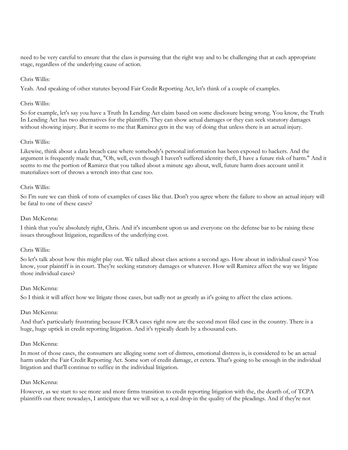need to be very careful to ensure that the class is pursuing that the right way and to be challenging that at each appropriate stage, regardless of the underlying cause of action.

## Chris Willis:

Yeah. And speaking of other statutes beyond Fair Credit Reporting Act, let's think of a couple of examples.

## Chris Willis:

So for example, let's say you have a Truth In Lending Act claim based on some disclosure being wrong. You know, the Truth In Lending Act has two alternatives for the plaintiffs. They can show actual damages or they can seek statutory damages without showing injury. But it seems to me that Ramirez gets in the way of doing that unless there is an actual injury.

## Chris Willis:

Likewise, think about a data breach case where somebody's personal information has been exposed to hackers. And the argument is frequently made that, "Oh, well, even though I haven't suffered identity theft, I have a future risk of harm." And it seems to me the portion of Ramirez that you talked about a minute ago about, well, future harm does account until it materializes sort of throws a wrench into that case too.

#### Chris Willis:

So I'm sure we can think of tons of examples of cases like that. Don't you agree where the failure to show an actual injury will be fatal to one of these cases?

## Dan McKenna:

I think that you're absolutely right, Chris. And it's incumbent upon us and everyone on the defense bar to be raising these issues throughout litigation, regardless of the underlying cost.

#### Chris Willis:

So let's talk about how this might play out. We talked about class actions a second ago. How about in individual cases? You know, your plaintiff is in court. They're seeking statutory damages or whatever. How will Ramirez affect the way we litigate those individual cases?

#### Dan McKenna:

So I think it will affect how we litigate those cases, but sadly not as greatly as it's going to affect the class actions.

#### Dan McKenna:

And that's particularly frustrating because FCRA cases right now are the second most filed case in the country. There is a huge, huge uptick in credit reporting litigation. And it's typically death by a thousand cuts.

#### Dan McKenna:

In most of those cases, the consumers are alleging some sort of distress, emotional distress is, is considered to be an actual harm under the Fair Credit Reporting Act. Some sort of credit damage, et cetera. That's going to be enough in the individual litigation and that'll continue to suffice in the individual litigation.

#### Dan McKenna:

However, as we start to see more and more firms transition to credit reporting litigation with the, the dearth of, of TCPA plaintiffs out there nowadays, I anticipate that we will see a, a real drop in the quality of the pleadings. And if they're not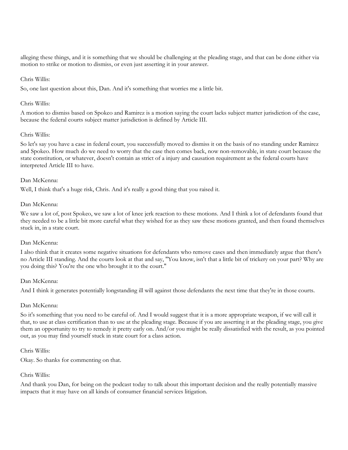alleging these things, and it is something that we should be challenging at the pleading stage, and that can be done either via motion to strike or motion to dismiss, or even just asserting it in your answer.

## Chris Willis:

So, one last question about this, Dan. And it's something that worries me a little bit.

## Chris Willis:

A motion to dismiss based on Spokeo and Ramirez is a motion saying the court lacks subject matter jurisdiction of the case, because the federal courts subject matter jurisdiction is defined by Article III.

## Chris Willis:

So let's say you have a case in federal court, you successfully moved to dismiss it on the basis of no standing under Ramirez and Spokeo. How much do we need to worry that the case then comes back, now non-removable, in state court because the state constitution, or whatever, doesn't contain as strict of a injury and causation requirement as the federal courts have interpreted Article III to have.

## Dan McKenna:

Well, I think that's a huge risk, Chris. And it's really a good thing that you raised it.

## Dan McKenna:

We saw a lot of, post Spokeo, we saw a lot of knee jerk reaction to these motions. And I think a lot of defendants found that they needed to be a little bit more careful what they wished for as they saw these motions granted, and then found themselves stuck in, in a state court.

# Dan McKenna:

I also think that it creates some negative situations for defendants who remove cases and then immediately argue that there's no Article III standing. And the courts look at that and say, "You know, isn't that a little bit of trickery on your part? Why are you doing this? You're the one who brought it to the court."

#### Dan McKenna:

And I think it generates potentially longstanding ill will against those defendants the next time that they're in those courts.

#### Dan McKenna:

So it's something that you need to be careful of. And I would suggest that it is a more appropriate weapon, if we will call it that, to use at class certification than to use at the pleading stage. Because if you are asserting it at the pleading stage, you give them an opportunity to try to remedy it pretty early on. And/or you might be really dissatisfied with the result, as you pointed out, as you may find yourself stuck in state court for a class action.

#### Chris Willis:

Okay. So thanks for commenting on that.

#### Chris Willis:

And thank you Dan, for being on the podcast today to talk about this important decision and the really potentially massive impacts that it may have on all kinds of consumer financial services litigation.